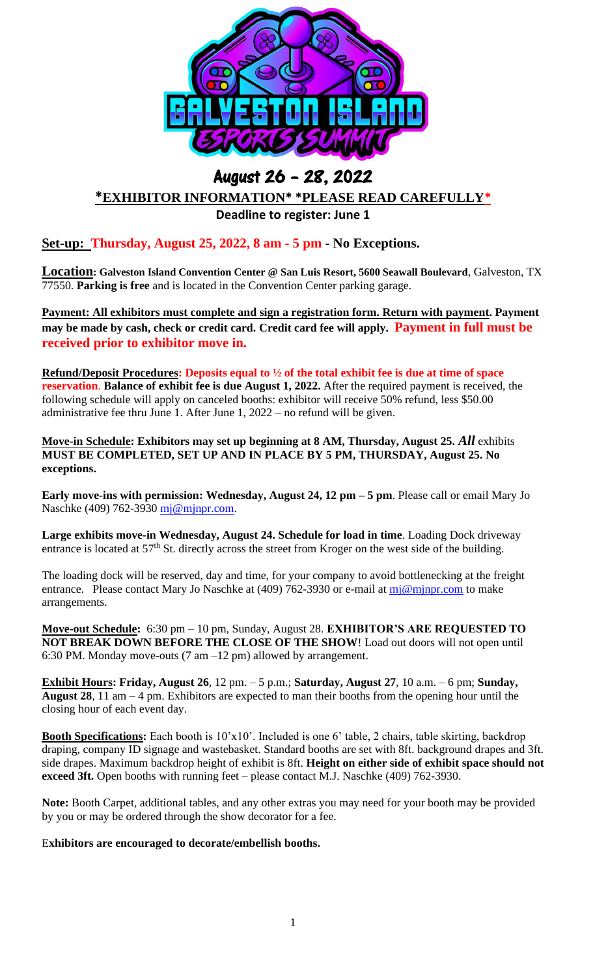

## August 26 – 28, 2022 **\*EXHIBITOR INFORMATION\* \*PLEASE READ CAREFULLY\***

**Deadline to register: June 1**

**Set-up: Thursday, August 25, 2022, 8 am - 5 pm - No Exceptions.** 

**Location: Galveston Island Convention Center @ San Luis Resort, 5600 Seawall Boulevard**, Galveston, TX 77550. **Parking is free** and is located in the Convention Center parking garage.

**Payment: All exhibitors must complete and sign a registration form. Return with payment. Payment may be made by cash, check or credit card. Credit card fee will apply. Payment in full must be received prior to exhibitor move in.** 

**Refund/Deposit Procedures: Deposits equal to ½ of the total exhibit fee is due at time of space reservation**. **Balance of exhibit fee is due August 1, 2022.** After the required payment is received, the following schedule will apply on canceled booths: exhibitor will receive 50% refund, less \$50.00 administrative fee thru June 1. After June 1, 2022 – no refund will be given.

**Move-in Schedule: Exhibitors may set up beginning at 8 AM, Thursday, August 25.** *All* exhibits **MUST BE COMPLETED, SET UP AND IN PLACE BY 5 PM, THURSDAY, August 25. No exceptions.**

**Early move-ins with permission: Wednesday, August 24, 12 pm – 5 pm**. Please call or email Mary Jo Naschke (409) 762-3930 [mj@mjnpr.com.](mailto:mj@mjnpr.com)

**Large exhibits move-in Wednesday, August 24. Schedule for load in time**. Loading Dock driveway entrance is located at  $57<sup>th</sup>$  St. directly across the street from Kroger on the west side of the building.

The loading dock will be reserved, day and time, for your company to avoid bottlenecking at the freight entrance. Please contact Mary Jo Naschke at (409) 762-3930 or e-mail at  $m\bar{j}\omega m\bar{j}$  princom to make arrangements.

**Move-out Schedule:** 6:30 pm – 10 pm, Sunday, August 28. **EXHIBITOR'S ARE REQUESTED TO NOT BREAK DOWN BEFORE THE CLOSE OF THE SHOW**! Load out doors will not open until 6:30 PM. Monday move-outs (7 am –12 pm) allowed by arrangement.

**Exhibit Hours: Friday, August 26**, 12 pm. – 5 p.m.; **Saturday, August 27**, 10 a.m. – 6 pm; **Sunday, August 28**, 11 am – 4 pm. Exhibitors are expected to man their booths from the opening hour until the closing hour of each event day.

**Booth Specifications:** Each booth is 10'x10'. Included is one 6' table, 2 chairs, table skirting, backdrop draping, company ID signage and wastebasket. Standard booths are set with 8ft. background drapes and 3ft. side drapes. Maximum backdrop height of exhibit is 8ft. **Height on either side of exhibit space should not exceed 3ft.** Open booths with running feet – please contact M.J. Naschke (409) 762-3930.

**Note:** Booth Carpet, additional tables, and any other extras you may need for your booth may be provided by you or may be ordered through the show decorator for a fee.

## E**xhibitors are encouraged to decorate/embellish booths.**